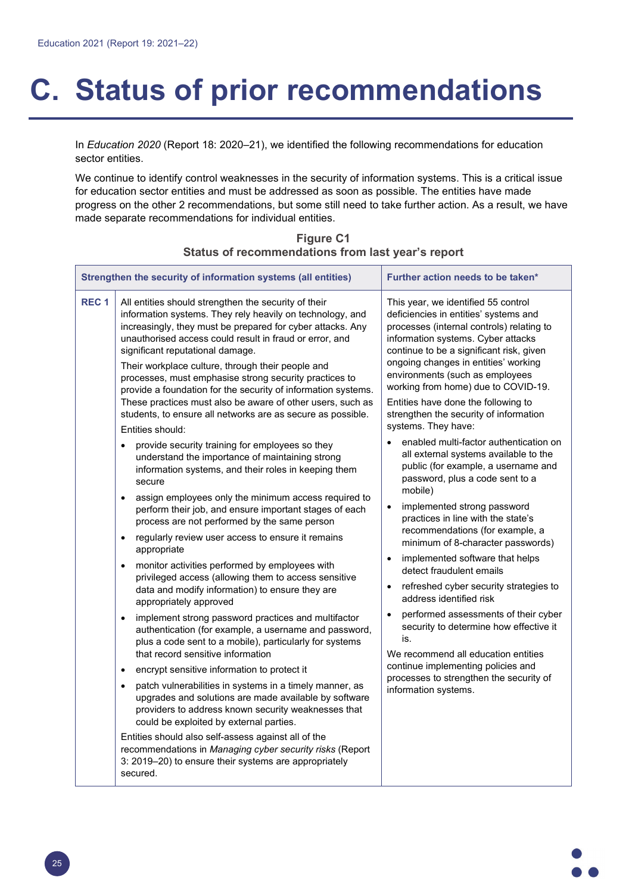## **C. Status of prior recommendations**

In *Education 2020* (Report 18: 2020–21), we identified the following recommendations for education sector entities.

We continue to identify control weaknesses in the security of information systems. This is a critical issue for education sector entities and must be addressed as soon as possible. The entities have made progress on the other 2 recommendations, but some still need to take further action. As a result, we have made separate recommendations for individual entities.

| Strengthen the security of information systems (all entities) |                                                                                                                                                                                                                                                                                                                                                                                                                                                                                                                                                                                             | Further action needs to be taken*                                                                                                                                                                                                                                                                                                                                                                                                                                                                                                                                                                                          |
|---------------------------------------------------------------|---------------------------------------------------------------------------------------------------------------------------------------------------------------------------------------------------------------------------------------------------------------------------------------------------------------------------------------------------------------------------------------------------------------------------------------------------------------------------------------------------------------------------------------------------------------------------------------------|----------------------------------------------------------------------------------------------------------------------------------------------------------------------------------------------------------------------------------------------------------------------------------------------------------------------------------------------------------------------------------------------------------------------------------------------------------------------------------------------------------------------------------------------------------------------------------------------------------------------------|
| REC <sub>1</sub>                                              | All entities should strengthen the security of their<br>information systems. They rely heavily on technology, and<br>increasingly, they must be prepared for cyber attacks. Any<br>unauthorised access could result in fraud or error, and<br>significant reputational damage.<br>Their workplace culture, through their people and<br>processes, must emphasise strong security practices to<br>provide a foundation for the security of information systems.<br>These practices must also be aware of other users, such as<br>students, to ensure all networks are as secure as possible. | This year, we identified 55 control<br>deficiencies in entities' systems and<br>processes (internal controls) relating to<br>information systems. Cyber attacks<br>continue to be a significant risk, given<br>ongoing changes in entities' working<br>environments (such as employees<br>working from home) due to COVID-19.<br>Entities have done the following to<br>strengthen the security of information<br>systems. They have:<br>enabled multi-factor authentication on<br>$\bullet$<br>all external systems available to the<br>public (for example, a username and<br>password, plus a code sent to a<br>mobile) |
|                                                               | Entities should:                                                                                                                                                                                                                                                                                                                                                                                                                                                                                                                                                                            |                                                                                                                                                                                                                                                                                                                                                                                                                                                                                                                                                                                                                            |
|                                                               | provide security training for employees so they<br>understand the importance of maintaining strong<br>information systems, and their roles in keeping them<br>secure                                                                                                                                                                                                                                                                                                                                                                                                                        |                                                                                                                                                                                                                                                                                                                                                                                                                                                                                                                                                                                                                            |
|                                                               | assign employees only the minimum access required to<br>$\bullet$<br>perform their job, and ensure important stages of each<br>process are not performed by the same person<br>regularly review user access to ensure it remains<br>$\bullet$                                                                                                                                                                                                                                                                                                                                               | implemented strong password<br>$\bullet$<br>practices in line with the state's<br>recommendations (for example, a<br>minimum of 8-character passwords)                                                                                                                                                                                                                                                                                                                                                                                                                                                                     |
|                                                               | appropriate<br>monitor activities performed by employees with<br>$\bullet$                                                                                                                                                                                                                                                                                                                                                                                                                                                                                                                  | implemented software that helps<br>$\bullet$<br>detect fraudulent emails                                                                                                                                                                                                                                                                                                                                                                                                                                                                                                                                                   |
|                                                               | privileged access (allowing them to access sensitive<br>data and modify information) to ensure they are<br>appropriately approved                                                                                                                                                                                                                                                                                                                                                                                                                                                           | refreshed cyber security strategies to<br>$\bullet$<br>address identified risk                                                                                                                                                                                                                                                                                                                                                                                                                                                                                                                                             |
|                                                               | implement strong password practices and multifactor<br>$\bullet$<br>authentication (for example, a username and password,<br>plus a code sent to a mobile), particularly for systems<br>that record sensitive information                                                                                                                                                                                                                                                                                                                                                                   | performed assessments of their cyber<br>$\bullet$<br>security to determine how effective it<br>is.<br>We recommend all education entities<br>continue implementing policies and<br>processes to strengthen the security of<br>information systems.                                                                                                                                                                                                                                                                                                                                                                         |
|                                                               | encrypt sensitive information to protect it<br>$\bullet$                                                                                                                                                                                                                                                                                                                                                                                                                                                                                                                                    |                                                                                                                                                                                                                                                                                                                                                                                                                                                                                                                                                                                                                            |
|                                                               | patch vulnerabilities in systems in a timely manner, as<br>$\bullet$<br>upgrades and solutions are made available by software<br>providers to address known security weaknesses that<br>could be exploited by external parties.                                                                                                                                                                                                                                                                                                                                                             |                                                                                                                                                                                                                                                                                                                                                                                                                                                                                                                                                                                                                            |
|                                                               | Entities should also self-assess against all of the<br>recommendations in Managing cyber security risks (Report<br>3: 2019–20) to ensure their systems are appropriately<br>secured.                                                                                                                                                                                                                                                                                                                                                                                                        |                                                                                                                                                                                                                                                                                                                                                                                                                                                                                                                                                                                                                            |

## **Figure C1 Status of recommendations from last year's report**